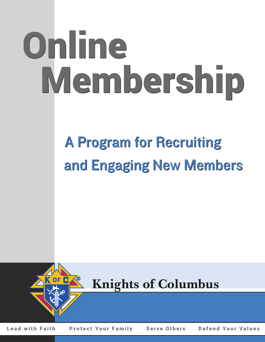# Online Online Membership Membership

## A Program for Recruiting A Program for Recruiting and Engaging New Members and Engaging New Members



**Knights of Columbus**

Lead with Faith Protect Your Family Serve Others Defend Your Values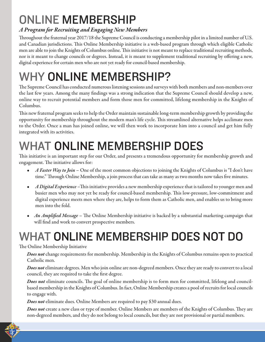## ONLINE MEMBERSHIP

## *A Program for Recruiting and Engaging New Members*

Throughout the fraternal year 2017/18 the Supreme Council is conducting a membership pilot in a limited number of U.S. and Canadian jurisdictions. This Online Membership initiative is a web-based program through which eligible Catholic men are able to join the Knights of Columbus online. This initiative is not meant to replace traditional recruiting methods, nor is it meant to change councils or degrees. Instead, it is meant to supplement traditional recruiting by offering a new, digital experience for certain men who are not yet ready for council-based membership.

## WHY ONLINE MEMBERSHIP?

The Supreme Council hasconducted numerous listening sessions and surveys with both members and non-members over the last few years. Among the many findings was a strong indication that the Supreme Council should develop a new, online way to recruit potential members and form those men for committed, lifelong membership in the Knights of Columbus.

This new fraternal program seeks to help the Order maintain sustainablelong-term membership growth by providing the opportunity for membership throughout the modern man's life cycle. This streamlined alternative helps acclimate men to the Order. Once a man has joined online, we will then work to incorporate him into a council and get him fully integrated with its activities.

## WHAT ONLINE MEMBERSHIP DOES

This initiative is an important step for our Order, and presents a tremendous opportunity for membership growth and engagement. The initiative allows for:

- *A Faster Way to Join* One of the most common objections to joining the Knights of Columbus is "I don't have time." Through Online Membership, a join process that can take as many as two months now takes five minutes.
- *A Digital Experience* –This initiative provides a new membership experiencethat is tailored to younger men and busier men who may not yet be ready for council-based membership. This low-pressure, low-commitment and digital experience meets men where they are, helps to form them as Catholic men, and enables us to bring more men into the fold.
- *An Amplified Message* The Online Membership initiative is backed by a substantial marketing campaign that will find and work to convert prospective members.

## WHAT ONLINE MEMBERSHIP DOES NOT DO

### The Online Membership Initiative

Does not change requirements for membership. Membership in the Knights of Columbus remains open to practical Catholic men.

*Does not* eliminate degrees. Men who join online are non-degreed members. Once they are ready to convert to a local council, they are required to take the first degree.

*Does not* eliminate councils. The goal of online membership is to form men for committed, lifelong and councilbased membership in the Knights of Columbus. In fact, Online Membership creates a pool of recruits for local councils to engage with.

*Does not* eliminate dues. Online Members are required to pay \$30 annual dues.

*Does not* create a new class or type of member. Online Members are members of the Knights of Columbus. They are non-degreed members, and they do not belong to local councils, but they are not provisional or partial members.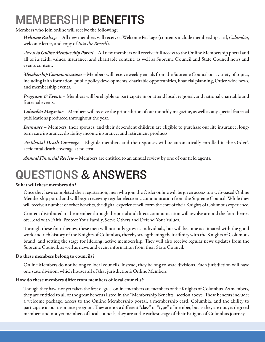## MEMBERSHIP BENEFITS

Members who join online will receive the following:

*Welcome Package* – All new members will receive a Welcome Package (contents include membership card, *Columbia*, welcomeletter, and copy of *Into the Breach*).

*Access to Online Membership Portal* – All new members will receive full access to the Online Membership portal and all of its faith, values, insurance, and charitable content, as well as Supreme Council and State Council news and events content.

*Membership Communications* – Members will receive weekly emails from the Supreme Council on a variety of topics, including faith formation, public policy developments, charitable opportunities, financial planning, Order-wide news, and membership events.

*Programs & Events* – Members will be eligible to participate in or attend local, regional, and national charitable and fraternal events.

*Columbia Magazine* – Members will receive the print edition of our monthly magazine, as well as any special fraternal publications produced throughout the year.

 *Insurance* – Members, their spouses, and their dependent children are eligible to purchase our life insurance, longterm care insurance, disability income insurance, and retirement products.

 *Accidental Death Coverage* – Eligible members and their spouses will be automatically enrolled in the Order's accidental death coverage at no cost.

*Annual Financial Review* – Members are entitled to an annual review by one of our field agents.

## QUESTIONS & ANSWERS

#### **What will these members do?**

Once they have completed their registration, men who join the Order online will be given access to a web-based Online Membership portal and will begin receiving regular electronic communication from the Supreme Council. While they will receive a number of other benefits, the digital experience will form the core of their Knights of Columbus experience.

Content distributed to the member through the portal and direct communication will revolve around the four themes of: Lead with Faith, Protect Your Family, Serve Others and Defend Your Values.

 Through these four themes, these men will not only grow as individuals, but will become acclimated with the good work and rich history of the Knights of Columbus, thereby strengthening their affinity with the Knights of Columbus brand, and setting the stage for lifelong, active membership. They will also receive regular news updates from the Supreme Council, as well as news and event information from their State Council.

#### **Do these members belong to councils?**

 Online Members do not belong to local councils. Instead, they belong to state divisions. Each jurisdiction will have one state division, which houses all of that jurisdiction's Online Members

#### **How do these members differ from members of local councils?**

Though they have not yet taken the first degree, online members are members of the Knights of Columbus. As members, they are entitled to all of the great benefits listed in the "Membership Benefits" section above. These benefits include: a welcome package, access to the Online Membership portal, a membership card, Columbia, and the ability to participate in our insurance program. They are not a different "class" or "type" of member, but as they are not yet degreed members and not yet members of local councils, they are at the earliest stage of their Knights of Columbus journey.